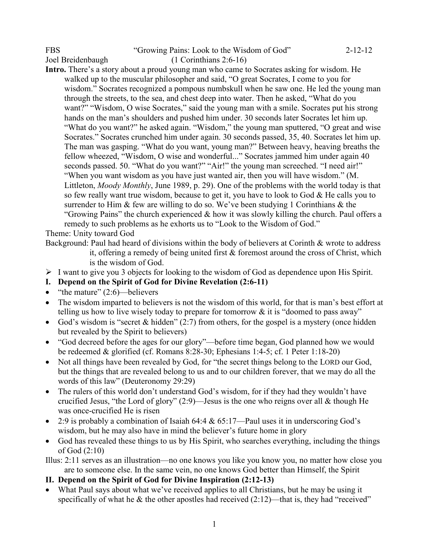## FBS "Growing Pains: Look to the Wisdom of God" 2-12-12 Joel Breidenbaugh (1 Corinthians 2:6-16)

**Intro.** There's a story about a proud young man who came to Socrates asking for wisdom. He walked up to the muscular philosopher and said, "O great Socrates, I come to you for wisdom." Socrates recognized a pompous numbskull when he saw one. He led the young man through the streets, to the sea, and chest deep into water. Then he asked, "What do you want?" "Wisdom, O wise Socrates," said the young man with a smile. Socrates put his strong hands on the man's shoulders and pushed him under. 30 seconds later Socrates let him up. "What do you want?" he asked again. "Wisdom," the young man sputtered, "O great and wise Socrates." Socrates crunched him under again. 30 seconds passed, 35, 40. Socrates let him up. The man was gasping. "What do you want, young man?" Between heavy, heaving breaths the fellow wheezed, "Wisdom, O wise and wonderful..." Socrates jammed him under again 40 seconds passed. 50. "What do you want?" "Air!" the young man screeched. "I need air!" "When you want wisdom as you have just wanted air, then you will have wisdom." (M. Littleton, *Moody Monthly*, June 1989, p. 29). One of the problems with the world today is that so few really want true wisdom, because to get it, you have to look to God & He calls you to surrender to Him & few are willing to do so. We've been studying 1 Corinthians & the "Growing Pains" the church experienced  $\&$  how it was slowly killing the church. Paul offers a remedy to such problems as he exhorts us to "Look to the Wisdom of God."

Theme: Unity toward God

Background: Paul had heard of divisions within the body of believers at Corinth & wrote to address it, offering a remedy of being united first  $\&$  foremost around the cross of Christ, which

is the wisdom of God.

- $\triangleright$  I want to give you 3 objects for looking to the wisdom of God as dependence upon His Spirit.
- **I. Depend on the Spirit of God for Divine Revelation (2:6-11)**
- "the mature"  $(2:6)$ —believers
- The wisdom imparted to believers is not the wisdom of this world, for that is man's best effort at telling us how to live wisely today to prepare for tomorrow  $\&$  it is "doomed to pass away"
- God's wisdom is "secret & hidden"  $(2:7)$  from others, for the gospel is a mystery (once hidden but revealed by the Spirit to believers)
- "God decreed before the ages for our glory"—before time began, God planned how we would be redeemed & glorified (cf. Romans 8:28-30; Ephesians 1:4-5; cf. 1 Peter 1:18-20)
- Not all things have been revealed by God, for "the secret things belong to the LORD our God, but the things that are revealed belong to us and to our children forever, that we may do all the words of this law" (Deuteronomy 29:29)
- The rulers of this world don't understand God's wisdom, for if they had they wouldn't have crucified Jesus, "the Lord of glory" (2:9)—Jesus is the one who reigns over all & though He was once-crucified He is risen
- 2:9 is probably a combination of Isaiah 64:4 & 65:17—Paul uses it in underscoring God's wisdom, but he may also have in mind the believer's future home in glory
- God has revealed these things to us by His Spirit, who searches everything, including the things of God (2:10)

Illus: 2:11 serves as an illustration—no one knows you like you know you, no matter how close you are to someone else. In the same vein, no one knows God better than Himself, the Spirit

## **II. Depend on the Spirit of God for Divine Inspiration (2:12-13)**

• What Paul says about what we've received applies to all Christians, but he may be using it specifically of what he  $\&$  the other apostles had received (2:12)—that is, they had "received"